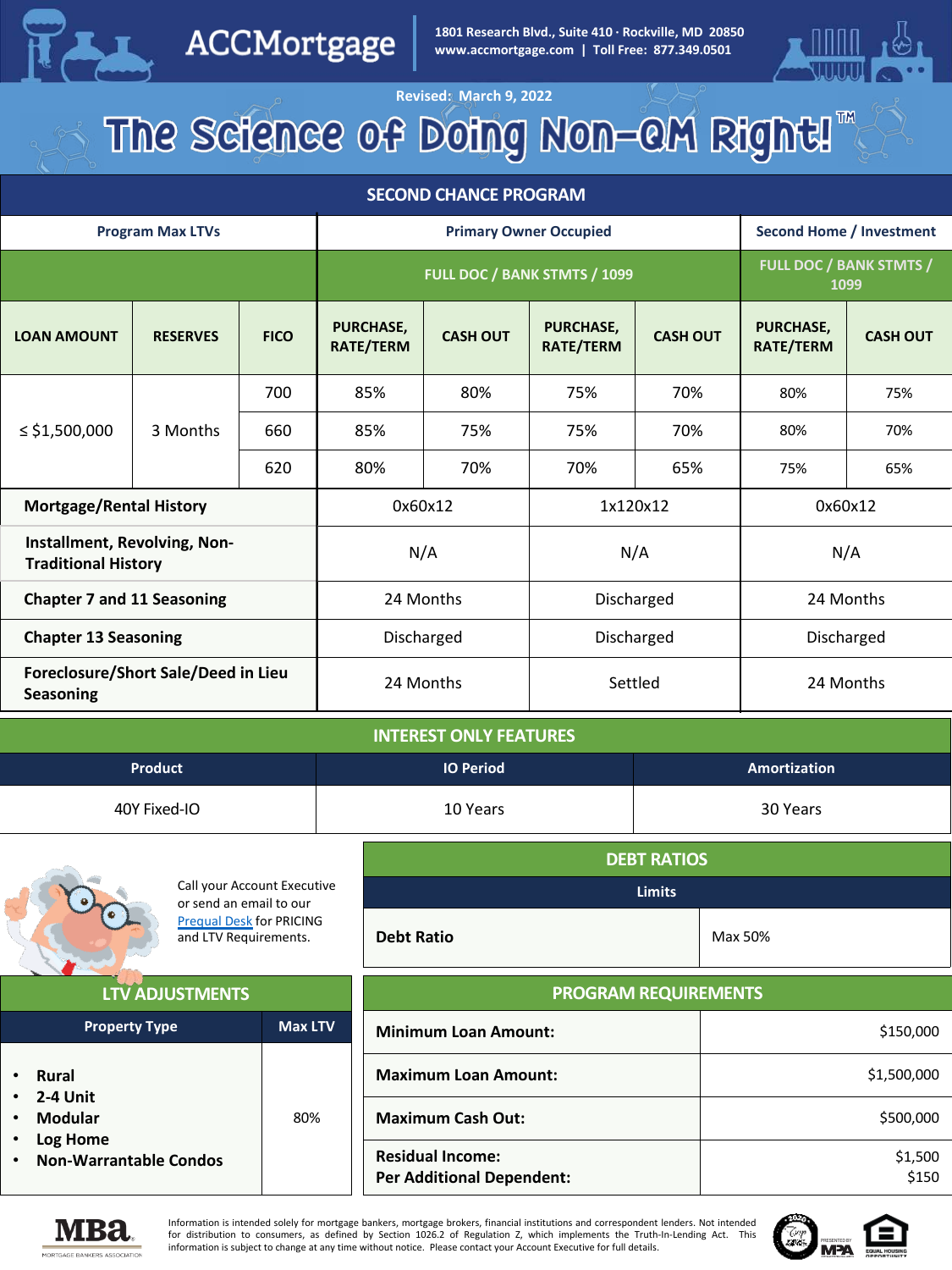

ACCMortgage

**WWW.accmortgage.com | Toll Free: 877.349.0501 CHANCE REPORT OF A LITTER CONDUCT OF A LITTER CONDUCT OF A LITTER CONDUCT OF A LITTER CONDUCT OF A LITTER CONDUCT OF A LITTER CONDUCT OF A LITTER CONDUCT OF A LITTER CONDUCT 1801 Research Blvd., Suite 410 · Rockville, MD 20850**



# **Revised: March 9, 2022**<br>The Science of Doing Non-QM Right!

#### **SECOND CHANCE PROGRAM**

| <b>Program Max LTVs</b>                                    |                 |             | <b>Primary Owner Occupied</b> |                 |                        | <b>Second Home / Investment</b>        |                               |                 |
|------------------------------------------------------------|-----------------|-------------|-------------------------------|-----------------|------------------------|----------------------------------------|-------------------------------|-----------------|
|                                                            |                 |             | FULL DOC / BANK STMTS / 1099  |                 |                        | <b>FULL DOC / BANK STMTS /</b><br>1099 |                               |                 |
| <b>LOAN AMOUNT</b>                                         | <b>RESERVES</b> | <b>FICO</b> | PURCHASE,<br>RATE/TERM        | <b>CASH OUT</b> | PURCHASE,<br>RATE/TERM | <b>CASH OUT</b>                        | <b>PURCHASE.</b><br>RATE/TERM | <b>CASH OUT</b> |
|                                                            |                 | 700         | 85%                           | 80%             | 75%                    | 70%                                    | 80%                           | 75%             |
| ≤ \$1,500,000                                              | 3 Months        | 660         | 85%                           | 75%             | 75%                    | 70%                                    | 80%                           | 70%             |
|                                                            |                 | 620         | 80%                           | 70%             | 70%                    | 65%                                    | 75%                           | 65%             |
| <b>Mortgage/Rental History</b>                             |                 |             | 0x60x12                       |                 | 1x120x12               | 0x60x12                                |                               |                 |
| Installment, Revolving, Non-<br><b>Traditional History</b> |                 |             | N/A                           | N/A             |                        | N/A                                    |                               |                 |
| <b>Chapter 7 and 11 Seasoning</b>                          |                 |             |                               | 24 Months       |                        | Discharged                             | 24 Months                     |                 |
| <b>Chapter 13 Seasoning</b>                                |                 |             |                               | Discharged      |                        | Discharged                             | Discharged                    |                 |
| Foreclosure/Short Sale/Deed in Lieu<br><b>Seasoning</b>    |                 | 24 Months   |                               | Settled         |                        | 24 Months                              |                               |                 |

| <b>INTEREST ONLY FEATURES</b> |                  |              |  |
|-------------------------------|------------------|--------------|--|
| <b>Product</b>                | <b>IO Period</b> | Amortization |  |
| 40Y Fixed-IO                  | 10 Years         | 30 Years     |  |

|                                           | Call your Account Executive                                                         | <b>DEBT RATIOS</b><br><b>Limits</b> |             |  |
|-------------------------------------------|-------------------------------------------------------------------------------------|-------------------------------------|-------------|--|
|                                           | or send an email to our<br><b>Pregual Desk for PRICING</b><br>and LTV Requirements. | <b>Debt Ratio</b>                   | Max 50%     |  |
| <b>LTV ADJUSTMENTS</b>                    |                                                                                     | <b>PROGRAM REQUIREMENTS</b>         |             |  |
| <b>Max LTV</b><br><b>Property Type</b>    |                                                                                     | <b>Minimum Loan Amount:</b>         | \$150,000   |  |
| Rural<br>$\bullet$                        |                                                                                     | <b>Maximum Loan Amount:</b>         | \$1,500,000 |  |
| 2-4 Unit<br>Modular                       | 80%                                                                                 | <b>Maximum Cash Out:</b>            | \$500,000   |  |
| Log Home<br><b>Non-Warrantable Condos</b> |                                                                                     | <b>Residual Income:</b>             | \$1,500     |  |



Information is intended solely for mortgage bankers, mortgage brokers, financial institutions and correspondent lenders. Not intended for distribution to consumers, as defined by Section 1026.2 of Regulation Z, which implements the Truth-In-Lending Act. This information is subject to change at any time without notice. Please contact your Account Executive for full details.

**Per Additional Dependent:**



\$150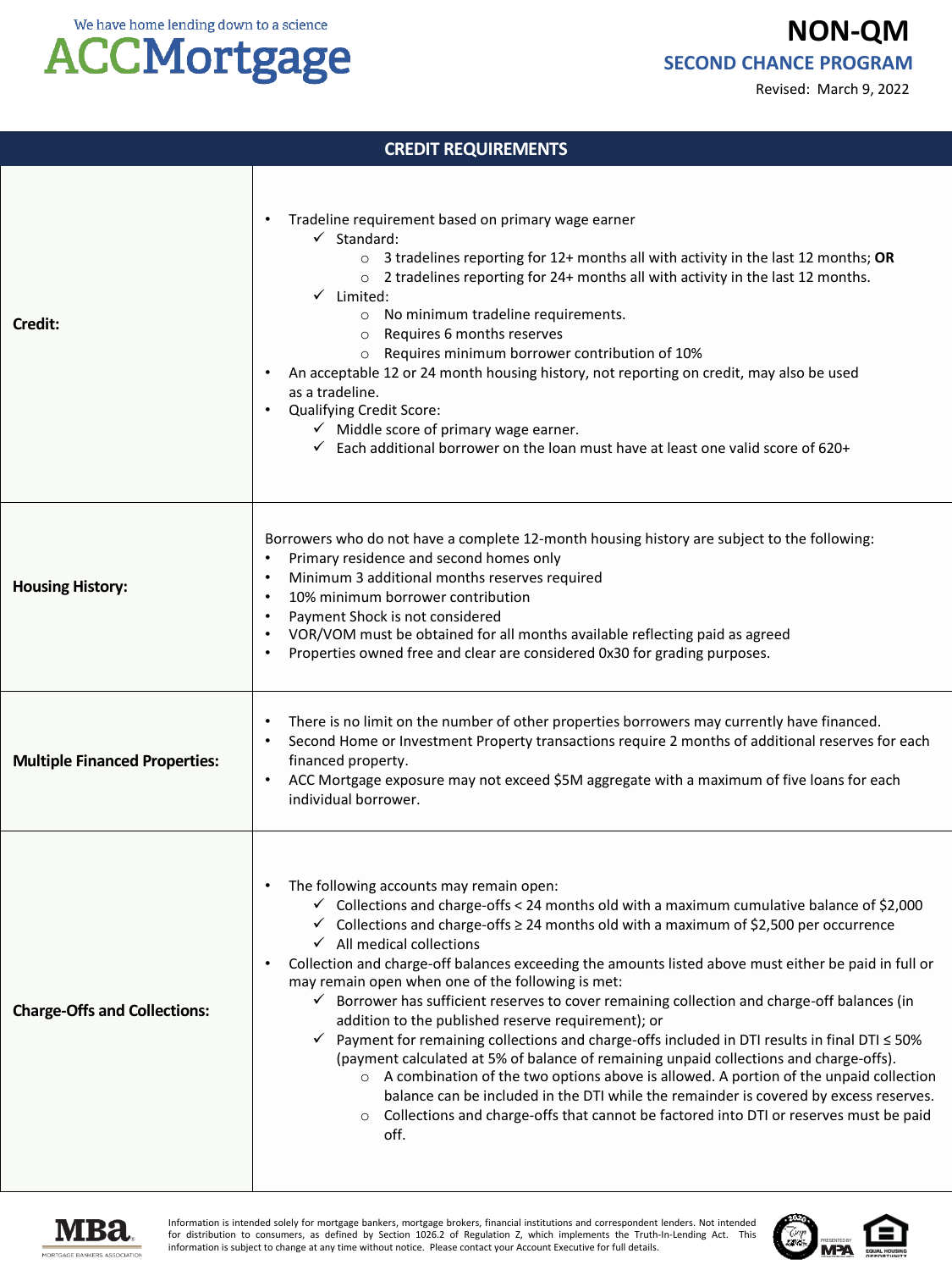We have home lending down to a science

## **ACCMortgage**

**NON-QM SECOND CHANCE PROGRAM**

Revised: March 9, 2022

### **CREDIT REQUIREMENTS Credit:** • Tradeline requirement based on primary wage earner  $\checkmark$  Standard: o 3 tradelines reporting for 12+ months all with activity in the last 12 months; **OR** o 2 tradelines reporting for 24+ months all with activity in the last 12 months.  $\checkmark$  Limited: o No minimum tradeline requirements. o Requires 6 months reserves o Requires minimum borrower contribution of 10% • An acceptable 12 or 24 month housing history, not reporting on credit, may also be used as a tradeline. • Qualifying Credit Score:  $\checkmark$  Middle score of primary wage earner.  $\checkmark$  Each additional borrower on the loan must have at least one valid score of 620+ **Housing History:** Borrowers who do not have a complete 12-month housing history are subject to the following: • Primary residence and second homes only • Minimum 3 additional months reserves required • 10% minimum borrower contribution Payment Shock is not considered • VOR/VOM must be obtained for all months available reflecting paid as agreed • Properties owned free and clear are considered 0x30 for grading purposes. **Multiple Financed Properties:** There is no limit on the number of other properties borrowers may currently have financed. • Second Home or Investment Property transactions require 2 months of additional reserves for each financed property. • ACC Mortgage exposure may not exceed \$5M aggregate with a maximum of five loans for each individual borrower. **Charge-Offs and Collections:** The following accounts may remain open:  $\checkmark$  Collections and charge-offs < 24 months old with a maximum cumulative balance of \$2,000  $\checkmark$  Collections and charge-offs  $\geq 24$  months old with a maximum of \$2,500 per occurrence  $\checkmark$  All medical collections • Collection and charge-off balances exceeding the amounts listed above must either be paid in full or may remain open when one of the following is met:  $\checkmark$  Borrower has sufficient reserves to cover remaining collection and charge-off balances (in addition to the published reserve requirement); or  $\checkmark$  Payment for remaining collections and charge-offs included in DTI results in final DTI  $\leq$  50% (payment calculated at 5% of balance of remaining unpaid collections and charge-offs).  $\circ$  A combination of the two options above is allowed. A portion of the unpaid collection balance can be included in the DTI while the remainder is covered by excess reserves.  $\circ$  Collections and charge-offs that cannot be factored into DTI or reserves must be paid off.



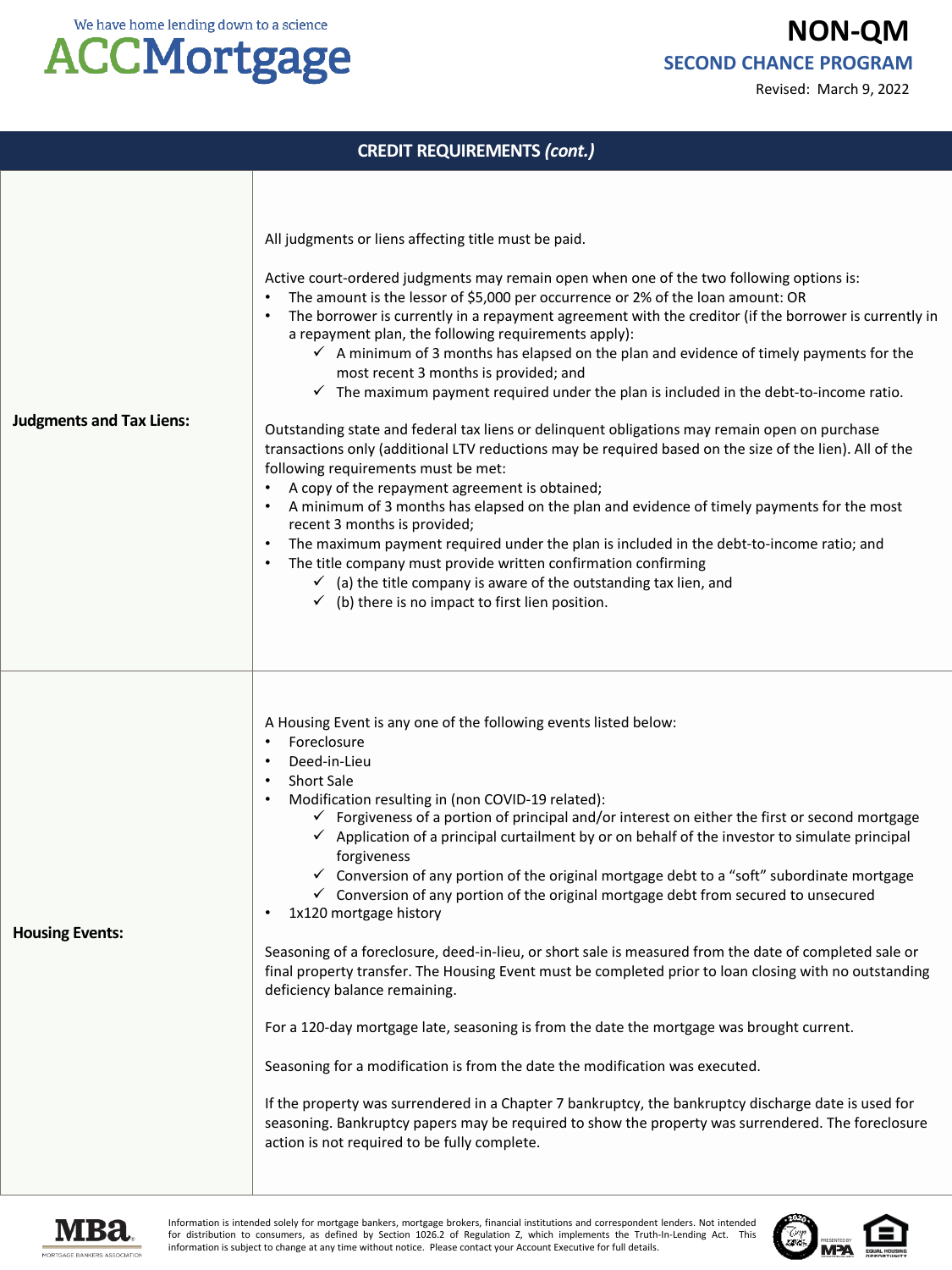Revised: March 9, 2022



|                                 | <b>CREDIT REQUIREMENTS (cont.)</b>                                                                                                                                                                                                                                                                                                                                                                                                                                                                                                                                                                                                                                                                                                                                                                                                                                                                                                                                                                                                                                                                                                                                                                                                                                                                                                                                                                       |
|---------------------------------|----------------------------------------------------------------------------------------------------------------------------------------------------------------------------------------------------------------------------------------------------------------------------------------------------------------------------------------------------------------------------------------------------------------------------------------------------------------------------------------------------------------------------------------------------------------------------------------------------------------------------------------------------------------------------------------------------------------------------------------------------------------------------------------------------------------------------------------------------------------------------------------------------------------------------------------------------------------------------------------------------------------------------------------------------------------------------------------------------------------------------------------------------------------------------------------------------------------------------------------------------------------------------------------------------------------------------------------------------------------------------------------------------------|
| <b>Judgments and Tax Liens:</b> | All judgments or liens affecting title must be paid.<br>Active court-ordered judgments may remain open when one of the two following options is:<br>The amount is the lessor of \$5,000 per occurrence or 2% of the loan amount: OR<br>The borrower is currently in a repayment agreement with the creditor (if the borrower is currently in<br>a repayment plan, the following requirements apply):<br>$\checkmark$ A minimum of 3 months has elapsed on the plan and evidence of timely payments for the<br>most recent 3 months is provided; and<br>$\checkmark$ The maximum payment required under the plan is included in the debt-to-income ratio.<br>Outstanding state and federal tax liens or delinquent obligations may remain open on purchase<br>transactions only (additional LTV reductions may be required based on the size of the lien). All of the<br>following requirements must be met:<br>A copy of the repayment agreement is obtained;<br>A minimum of 3 months has elapsed on the plan and evidence of timely payments for the most<br>recent 3 months is provided;<br>The maximum payment required under the plan is included in the debt-to-income ratio; and<br>The title company must provide written confirmation confirming<br>$\checkmark$ (a) the title company is aware of the outstanding tax lien, and<br>$\checkmark$ (b) there is no impact to first lien position. |
| <b>Housing Events:</b>          | A Housing Event is any one of the following events listed below:<br>Foreclosure<br>٠<br>Deed-in-Lieu<br>$\bullet$<br>Short Sale<br>$\bullet$<br>Modification resulting in (non COVID-19 related):<br>$\checkmark$ Forgiveness of a portion of principal and/or interest on either the first or second mortgage<br>$\checkmark$ Application of a principal curtailment by or on behalf of the investor to simulate principal<br>forgiveness<br>$\checkmark$ Conversion of any portion of the original mortgage debt to a "soft" subordinate mortgage<br>$\checkmark$ Conversion of any portion of the original mortgage debt from secured to unsecured<br>1x120 mortgage history<br>Seasoning of a foreclosure, deed-in-lieu, or short sale is measured from the date of completed sale or<br>final property transfer. The Housing Event must be completed prior to loan closing with no outstanding<br>deficiency balance remaining.<br>For a 120-day mortgage late, seasoning is from the date the mortgage was brought current.<br>Seasoning for a modification is from the date the modification was executed.<br>If the property was surrendered in a Chapter 7 bankruptcy, the bankruptcy discharge date is used for<br>seasoning. Bankruptcy papers may be required to show the property was surrendered. The foreclosure<br>action is not required to be fully complete.                          |



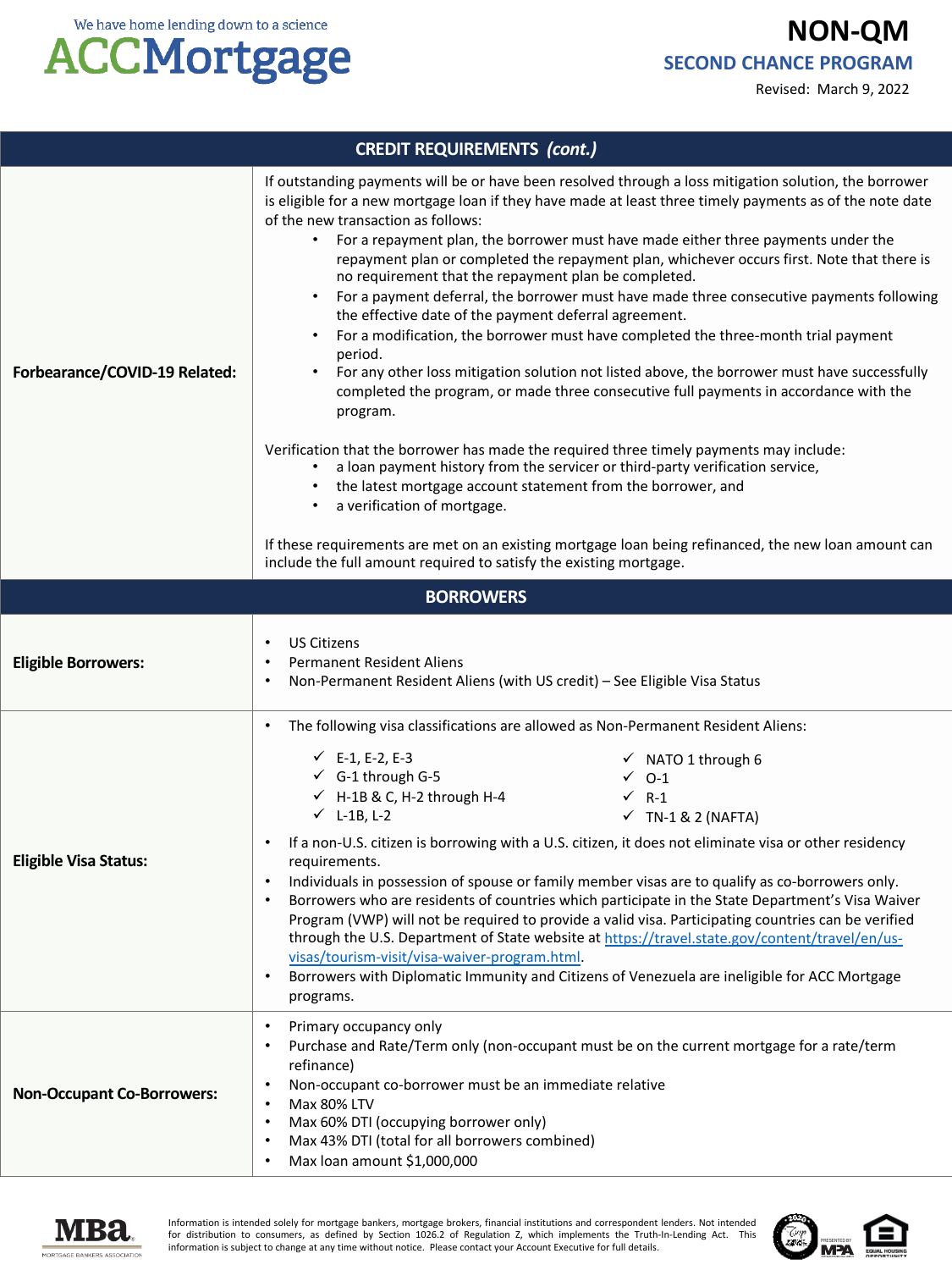Revised: March 9, 2022



| <b>CREDIT REQUIREMENTS (cont.)</b> |                                                                                                                                                                                                                                                                                                                                                                                                                                                                                                                                                                                                                                                                                                                                                                                                                                                                                                                                                                                                                                                                                                                                                                                                                                                                                                                                                                       |  |  |
|------------------------------------|-----------------------------------------------------------------------------------------------------------------------------------------------------------------------------------------------------------------------------------------------------------------------------------------------------------------------------------------------------------------------------------------------------------------------------------------------------------------------------------------------------------------------------------------------------------------------------------------------------------------------------------------------------------------------------------------------------------------------------------------------------------------------------------------------------------------------------------------------------------------------------------------------------------------------------------------------------------------------------------------------------------------------------------------------------------------------------------------------------------------------------------------------------------------------------------------------------------------------------------------------------------------------------------------------------------------------------------------------------------------------|--|--|
| Forbearance/COVID-19 Related:      | If outstanding payments will be or have been resolved through a loss mitigation solution, the borrower<br>is eligible for a new mortgage loan if they have made at least three timely payments as of the note date<br>of the new transaction as follows:<br>• For a repayment plan, the borrower must have made either three payments under the<br>repayment plan or completed the repayment plan, whichever occurs first. Note that there is<br>no requirement that the repayment plan be completed.<br>For a payment deferral, the borrower must have made three consecutive payments following<br>the effective date of the payment deferral agreement.<br>For a modification, the borrower must have completed the three-month trial payment<br>٠<br>period.<br>For any other loss mitigation solution not listed above, the borrower must have successfully<br>completed the program, or made three consecutive full payments in accordance with the<br>program.<br>Verification that the borrower has made the required three timely payments may include:<br>a loan payment history from the servicer or third-party verification service,<br>the latest mortgage account statement from the borrower, and<br>a verification of mortgage.<br>$\bullet$<br>If these requirements are met on an existing mortgage loan being refinanced, the new loan amount can |  |  |
|                                    | include the full amount required to satisfy the existing mortgage.                                                                                                                                                                                                                                                                                                                                                                                                                                                                                                                                                                                                                                                                                                                                                                                                                                                                                                                                                                                                                                                                                                                                                                                                                                                                                                    |  |  |
| <b>BORROWERS</b>                   |                                                                                                                                                                                                                                                                                                                                                                                                                                                                                                                                                                                                                                                                                                                                                                                                                                                                                                                                                                                                                                                                                                                                                                                                                                                                                                                                                                       |  |  |
| <b>Eligible Borrowers:</b>         | <b>US Citizens</b><br>$\bullet$<br><b>Permanent Resident Aliens</b><br>Non-Permanent Resident Aliens (with US credit) - See Eligible Visa Status                                                                                                                                                                                                                                                                                                                                                                                                                                                                                                                                                                                                                                                                                                                                                                                                                                                                                                                                                                                                                                                                                                                                                                                                                      |  |  |
| <b>Eligible Visa Status:</b>       | The following visa classifications are allowed as Non-Permanent Resident Aliens:<br>$\bullet$<br>$\checkmark$ E-1, E-2, E-3<br>$\checkmark$ NATO 1 through 6<br>$\checkmark$ G-1 through G-5<br>$\checkmark$ 0-1<br>$\checkmark$ H-1B & C, H-2 through H-4<br>$\checkmark$ R-1<br>$\checkmark$ L-1B, L-2<br>$\checkmark$ TN-1 & 2 (NAFTA)<br>If a non-U.S. citizen is borrowing with a U.S. citizen, it does not eliminate visa or other residency<br>$\bullet$<br>requirements.<br>Individuals in possession of spouse or family member visas are to qualify as co-borrowers only.<br>Borrowers who are residents of countries which participate in the State Department's Visa Waiver<br>Program (VWP) will not be required to provide a valid visa. Participating countries can be verified<br>through the U.S. Department of State website at https://travel.state.gov/content/travel/en/us-<br>visas/tourism-visit/visa-waiver-program.html.<br>Borrowers with Diplomatic Immunity and Citizens of Venezuela are ineligible for ACC Mortgage<br>programs.                                                                                                                                                                                                                                                                                                        |  |  |
| <b>Non-Occupant Co-Borrowers:</b>  | Primary occupancy only<br>Purchase and Rate/Term only (non-occupant must be on the current mortgage for a rate/term<br>refinance)<br>Non-occupant co-borrower must be an immediate relative<br>Max 80% LTV<br>Max 60% DTI (occupying borrower only)<br>Max 43% DTI (total for all borrowers combined)<br>Max loan amount \$1,000,000<br>$\bullet$                                                                                                                                                                                                                                                                                                                                                                                                                                                                                                                                                                                                                                                                                                                                                                                                                                                                                                                                                                                                                     |  |  |



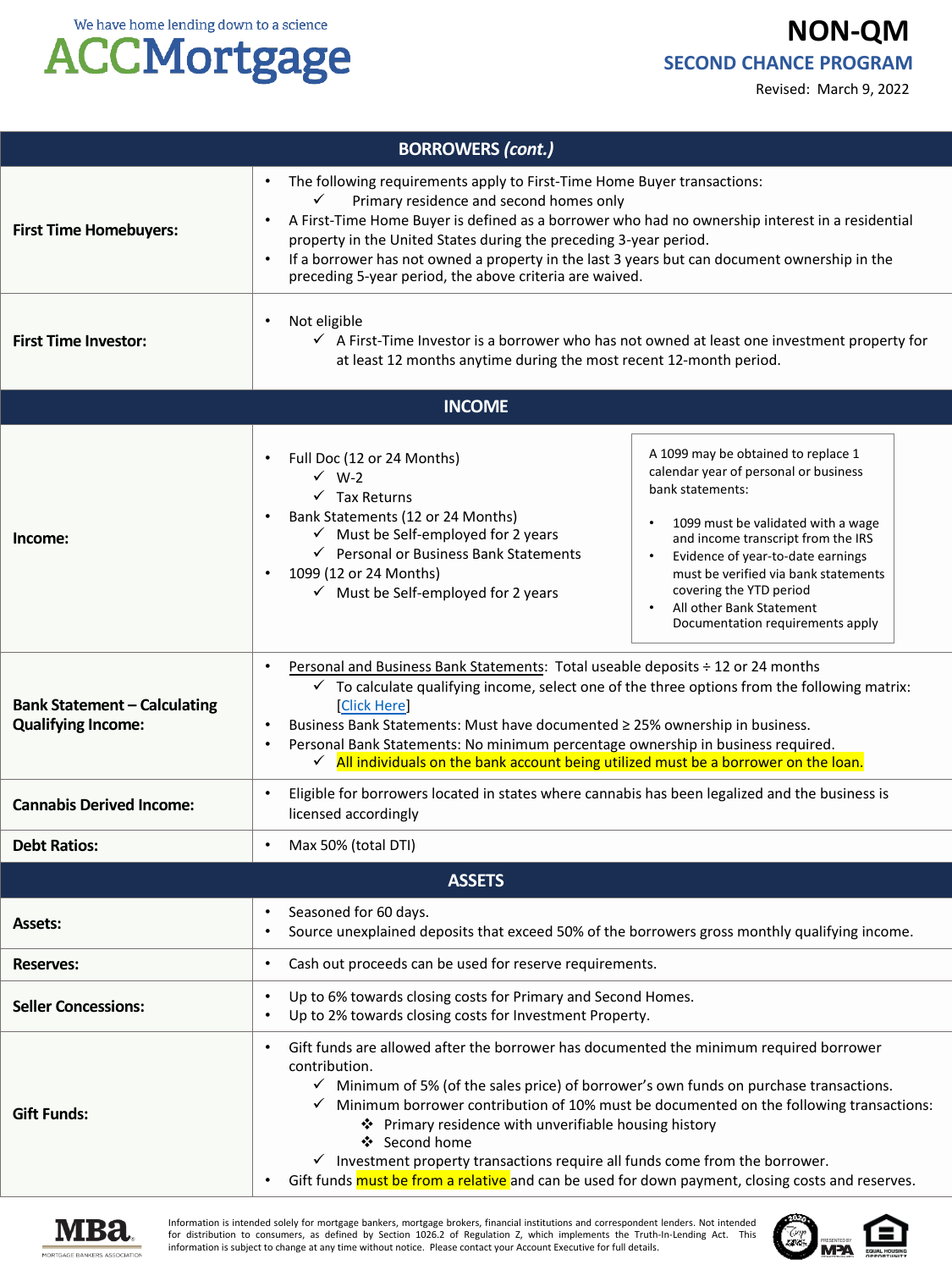

|                                                                  | 0                                                                                                                                                                                                                                                                                                                                                                                                                                                                               | Revised: March 9, 2022                                                                                                                                                                                                                                                                                                                                                         |  |  |
|------------------------------------------------------------------|---------------------------------------------------------------------------------------------------------------------------------------------------------------------------------------------------------------------------------------------------------------------------------------------------------------------------------------------------------------------------------------------------------------------------------------------------------------------------------|--------------------------------------------------------------------------------------------------------------------------------------------------------------------------------------------------------------------------------------------------------------------------------------------------------------------------------------------------------------------------------|--|--|
| <b>BORROWERS (cont.)</b>                                         |                                                                                                                                                                                                                                                                                                                                                                                                                                                                                 |                                                                                                                                                                                                                                                                                                                                                                                |  |  |
| <b>First Time Homebuyers:</b>                                    | The following requirements apply to First-Time Home Buyer transactions:<br>Primary residence and second homes only<br>A First-Time Home Buyer is defined as a borrower who had no ownership interest in a residential<br>property in the United States during the preceding 3-year period.<br>If a borrower has not owned a property in the last 3 years but can document ownership in the<br>preceding 5-year period, the above criteria are waived.                           |                                                                                                                                                                                                                                                                                                                                                                                |  |  |
| <b>First Time Investor:</b>                                      | Not eligible<br>$\bullet$<br>$\checkmark$ A First-Time Investor is a borrower who has not owned at least one investment property for<br>at least 12 months anytime during the most recent 12-month period.                                                                                                                                                                                                                                                                      |                                                                                                                                                                                                                                                                                                                                                                                |  |  |
|                                                                  | <b>INCOME</b>                                                                                                                                                                                                                                                                                                                                                                                                                                                                   |                                                                                                                                                                                                                                                                                                                                                                                |  |  |
| Income:                                                          | Full Doc (12 or 24 Months)<br>$\checkmark$ W-2<br>$\checkmark$ Tax Returns<br>Bank Statements (12 or 24 Months)<br>$\checkmark$ Must be Self-employed for 2 years<br>← Personal or Business Bank Statements<br>1099 (12 or 24 Months)<br>$\checkmark$ Must be Self-employed for 2 years                                                                                                                                                                                         | A 1099 may be obtained to replace 1<br>calendar year of personal or business<br>bank statements:<br>1099 must be validated with a wage<br>$\bullet$<br>and income transcript from the IRS<br>Evidence of year-to-date earnings<br>$\bullet$<br>must be verified via bank statements<br>covering the YTD period<br>All other Bank Statement<br>Documentation requirements apply |  |  |
| <b>Bank Statement - Calculating</b><br><b>Qualifying Income:</b> | Personal and Business Bank Statements: Total useable deposits ÷ 12 or 24 months<br>$\checkmark$ To calculate qualifying income, select one of the three options from the following matrix:<br>[Click Here]<br>Business Bank Statements: Must have documented ≥ 25% ownership in business.<br>Personal Bank Statements: No minimum percentage ownership in business required.<br>$\checkmark$ All individuals on the bank account being utilized must be a borrower on the loan. |                                                                                                                                                                                                                                                                                                                                                                                |  |  |
| <b>Cannabis Derived Income:</b>                                  | Eligible for borrowers located in states where cannabis has been legalized and the business is<br>licensed accordingly                                                                                                                                                                                                                                                                                                                                                          |                                                                                                                                                                                                                                                                                                                                                                                |  |  |
| <b>Debt Ratios:</b>                                              | Max 50% (total DTI)                                                                                                                                                                                                                                                                                                                                                                                                                                                             |                                                                                                                                                                                                                                                                                                                                                                                |  |  |
|                                                                  | <b>ASSETS</b>                                                                                                                                                                                                                                                                                                                                                                                                                                                                   |                                                                                                                                                                                                                                                                                                                                                                                |  |  |
| <b>Assets:</b>                                                   | Seasoned for 60 days.<br>Source unexplained deposits that exceed 50% of the borrowers gross monthly qualifying income.<br>$\bullet$                                                                                                                                                                                                                                                                                                                                             |                                                                                                                                                                                                                                                                                                                                                                                |  |  |
| <b>Reserves:</b>                                                 | Cash out proceeds can be used for reserve requirements.<br>$\bullet$                                                                                                                                                                                                                                                                                                                                                                                                            |                                                                                                                                                                                                                                                                                                                                                                                |  |  |
| <b>Seller Concessions:</b>                                       | Up to 6% towards closing costs for Primary and Second Homes.<br>Up to 2% towards closing costs for Investment Property.                                                                                                                                                                                                                                                                                                                                                         |                                                                                                                                                                                                                                                                                                                                                                                |  |  |



**Gift Funds:**

Information is intended solely for mortgage bankers, mortgage brokers, financial institutions and correspondent lenders. Not intended for distribution to consumers, as defined by Section 1026.2 of Regulation Z, which implements the Truth-In-Lending Act. This information is subject to change at any time without notice. Please contact your Account Executive for full details.

❖ Second home

contribution.

Gift funds are allowed after the borrower has documented the minimum required borrower

 $\checkmark$  Investment property transactions require all funds come from the borrower. • Gift funds must be from a relative and can be used for down payment, closing costs and reserves.

❖ Primary residence with unverifiable housing history

 $\checkmark$  Minimum of 5% (of the sales price) of borrower's own funds on purchase transactions.  $\checkmark$  Minimum borrower contribution of 10% must be documented on the following transactions:

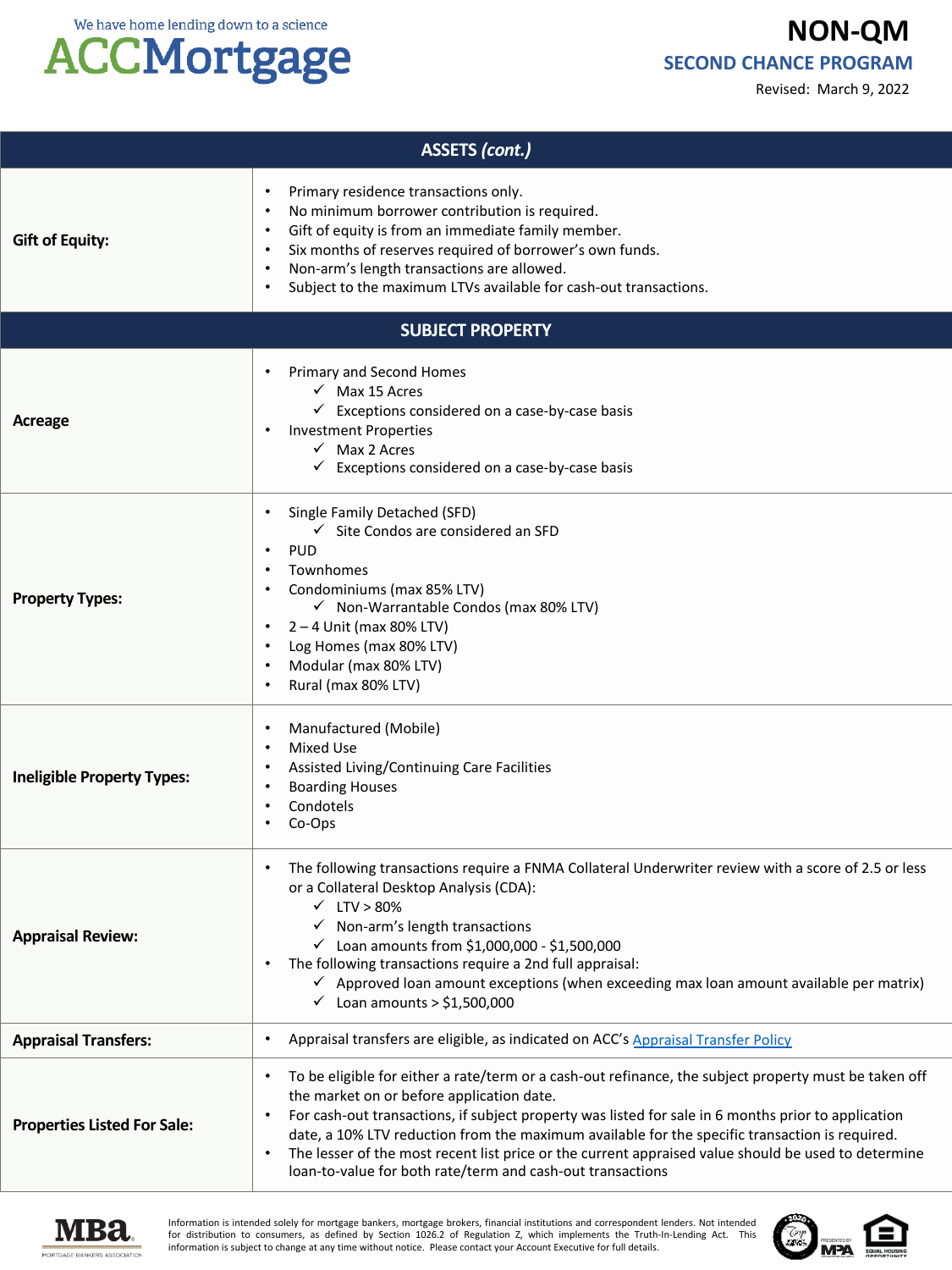Revised: March 9, 2022



### **ACCMortgage**

| <b>ASSETS (cont.)</b>                                                                                                                                                                                                                                                                                                                                                                                                                                                                                                        |                                                                                                                                                                                                                                                                                                                                                                                                                                                                                                                                                                         |  |  |
|------------------------------------------------------------------------------------------------------------------------------------------------------------------------------------------------------------------------------------------------------------------------------------------------------------------------------------------------------------------------------------------------------------------------------------------------------------------------------------------------------------------------------|-------------------------------------------------------------------------------------------------------------------------------------------------------------------------------------------------------------------------------------------------------------------------------------------------------------------------------------------------------------------------------------------------------------------------------------------------------------------------------------------------------------------------------------------------------------------------|--|--|
| <b>Gift of Equity:</b>                                                                                                                                                                                                                                                                                                                                                                                                                                                                                                       | Primary residence transactions only.<br>$\bullet$<br>No minimum borrower contribution is required.<br>$\bullet$<br>Gift of equity is from an immediate family member.<br>$\bullet$<br>Six months of reserves required of borrower's own funds.<br>$\bullet$<br>Non-arm's length transactions are allowed.<br>$\bullet$<br>Subject to the maximum LTVs available for cash-out transactions.<br>$\bullet$                                                                                                                                                                 |  |  |
|                                                                                                                                                                                                                                                                                                                                                                                                                                                                                                                              | <b>SUBJECT PROPERTY</b>                                                                                                                                                                                                                                                                                                                                                                                                                                                                                                                                                 |  |  |
| Acreage                                                                                                                                                                                                                                                                                                                                                                                                                                                                                                                      | Primary and Second Homes<br>$\checkmark$ Max 15 Acres<br>$\checkmark$ Exceptions considered on a case-by-case basis<br><b>Investment Properties</b><br>$\checkmark$ Max 2 Acres<br>$\checkmark$ Exceptions considered on a case-by-case basis                                                                                                                                                                                                                                                                                                                           |  |  |
| <b>Property Types:</b>                                                                                                                                                                                                                                                                                                                                                                                                                                                                                                       | Single Family Detached (SFD)<br>$\checkmark$ Site Condos are considered an SFD<br><b>PUD</b><br>$\bullet$<br>Townhomes<br>$\bullet$<br>Condominiums (max 85% LTV)<br>$\bullet$<br>√ Non-Warrantable Condos (max 80% LTV)<br>$2 - 4$ Unit (max 80% LTV)<br>$\bullet$<br>Log Homes (max 80% LTV)<br>$\bullet$<br>Modular (max 80% LTV)<br>$\bullet$<br>Rural (max 80% LTV)<br>$\bullet$                                                                                                                                                                                   |  |  |
| <b>Ineligible Property Types:</b>                                                                                                                                                                                                                                                                                                                                                                                                                                                                                            | Manufactured (Mobile)<br>$\bullet$<br><b>Mixed Use</b><br>$\bullet$<br>Assisted Living/Continuing Care Facilities<br><b>Boarding Houses</b><br>٠<br>Condotels<br>Co-Ops<br>٠                                                                                                                                                                                                                                                                                                                                                                                            |  |  |
| The following transactions require a FNMA Collateral Underwriter review with a score of 2.5 or less<br>or a Collateral Desktop Analysis (CDA):<br>$\times$ LTV > 80%<br>$\checkmark$ Non-arm's length transactions<br><b>Appraisal Review:</b><br>$\checkmark$ Loan amounts from \$1,000,000 - \$1,500,000<br>The following transactions require a 2nd full appraisal:<br>$\checkmark$ Approved loan amount exceptions (when exceeding max loan amount available per matrix)<br>Loan amounts $>$ \$1,500,000<br>$\checkmark$ |                                                                                                                                                                                                                                                                                                                                                                                                                                                                                                                                                                         |  |  |
| <b>Appraisal Transfers:</b>                                                                                                                                                                                                                                                                                                                                                                                                                                                                                                  | Appraisal transfers are eligible, as indicated on ACC's Appraisal Transfer Policy<br>$\bullet$                                                                                                                                                                                                                                                                                                                                                                                                                                                                          |  |  |
| <b>Properties Listed For Sale:</b>                                                                                                                                                                                                                                                                                                                                                                                                                                                                                           | To be eligible for either a rate/term or a cash-out refinance, the subject property must be taken off<br>$\bullet$<br>the market on or before application date.<br>For cash-out transactions, if subject property was listed for sale in 6 months prior to application<br>$\bullet$<br>date, a 10% LTV reduction from the maximum available for the specific transaction is required.<br>The lesser of the most recent list price or the current appraised value should be used to determine<br>$\bullet$<br>loan-to-value for both rate/term and cash-out transactions |  |  |



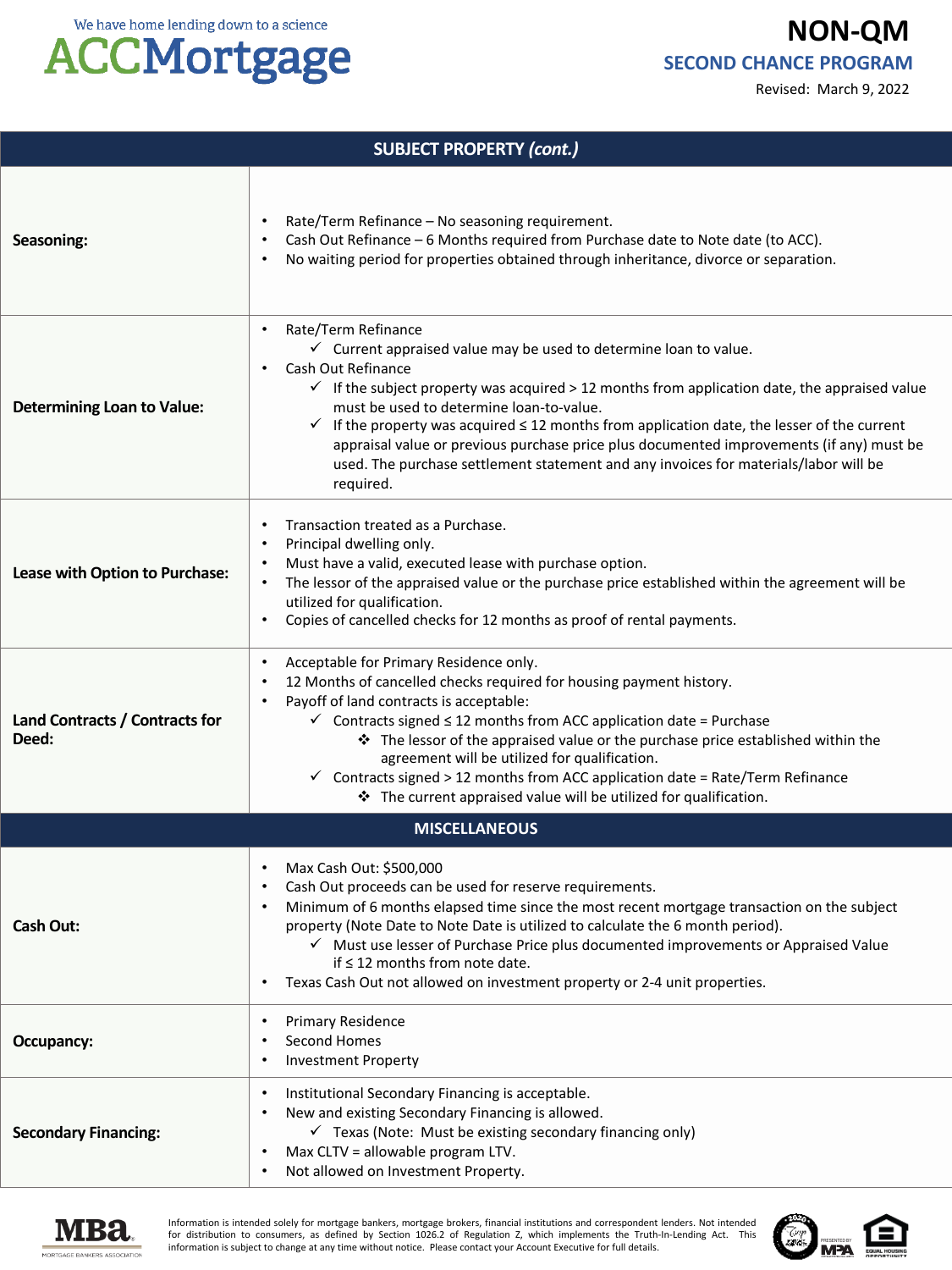We have home lending down to a science

### **ACCMortgage**

**NON-QM SECOND CHANCE PROGRAM**

Revised: March 9, 2022

| <b>SUBJECT PROPERTY (cont.)</b>         |                                                                                                                                                                                                                                                                                                                                                                                                                                                                                                                                                                                                                |  |  |  |
|-----------------------------------------|----------------------------------------------------------------------------------------------------------------------------------------------------------------------------------------------------------------------------------------------------------------------------------------------------------------------------------------------------------------------------------------------------------------------------------------------------------------------------------------------------------------------------------------------------------------------------------------------------------------|--|--|--|
| Seasoning:                              | Rate/Term Refinance - No seasoning requirement.<br>Cash Out Refinance - 6 Months required from Purchase date to Note date (to ACC).<br>No waiting period for properties obtained through inheritance, divorce or separation.                                                                                                                                                                                                                                                                                                                                                                                   |  |  |  |
| <b>Determining Loan to Value:</b>       | Rate/Term Refinance<br>$\bullet$<br>$\checkmark$ Current appraised value may be used to determine loan to value.<br>Cash Out Refinance<br>$\checkmark$ If the subject property was acquired > 12 months from application date, the appraised value<br>must be used to determine loan-to-value.<br>$\checkmark$ If the property was acquired $\leq$ 12 months from application date, the lesser of the current<br>appraisal value or previous purchase price plus documented improvements (if any) must be<br>used. The purchase settlement statement and any invoices for materials/labor will be<br>required. |  |  |  |
| Lease with Option to Purchase:          | Transaction treated as a Purchase.<br>Principal dwelling only.<br>Must have a valid, executed lease with purchase option.<br>The lessor of the appraised value or the purchase price established within the agreement will be<br>utilized for qualification.<br>Copies of cancelled checks for 12 months as proof of rental payments.                                                                                                                                                                                                                                                                          |  |  |  |
| Land Contracts / Contracts for<br>Deed: | Acceptable for Primary Residence only.<br>12 Months of cancelled checks required for housing payment history.<br>Payoff of land contracts is acceptable:<br>$\checkmark$ Contracts signed $\leq$ 12 months from ACC application date = Purchase<br>* The lessor of the appraised value or the purchase price established within the<br>agreement will be utilized for qualification.<br>$\checkmark$ Contracts signed > 12 months from ACC application date = Rate/Term Refinance<br>* The current appraised value will be utilized for qualification.                                                         |  |  |  |
| <b>MISCELLANEOUS</b>                    |                                                                                                                                                                                                                                                                                                                                                                                                                                                                                                                                                                                                                |  |  |  |
| <b>Cash Out:</b>                        | Max Cash Out: \$500,000<br>Cash Out proceeds can be used for reserve requirements.<br>Minimum of 6 months elapsed time since the most recent mortgage transaction on the subject<br>property (Note Date to Note Date is utilized to calculate the 6 month period).<br>√ Must use lesser of Purchase Price plus documented improvements or Appraised Value<br>if $\leq$ 12 months from note date.<br>Texas Cash Out not allowed on investment property or 2-4 unit properties.                                                                                                                                  |  |  |  |
| Occupancy:                              | Primary Residence<br>Second Homes<br><b>Investment Property</b>                                                                                                                                                                                                                                                                                                                                                                                                                                                                                                                                                |  |  |  |
| <b>Secondary Financing:</b>             | Institutional Secondary Financing is acceptable.<br>New and existing Secondary Financing is allowed.<br>$\checkmark$ Texas (Note: Must be existing secondary financing only)<br>Max CLTV = allowable program LTV.<br>Not allowed on Investment Property.                                                                                                                                                                                                                                                                                                                                                       |  |  |  |



Information is intended solely for mortgage bankers, mortgage brokers, financial institutions and correspondent lenders. Not intended<br>for distribution to consumers, as defined by Section 1026.2 of Regulation Z, which imple information is subject to change at any time without notice. Please contact your Account Executive for full details.